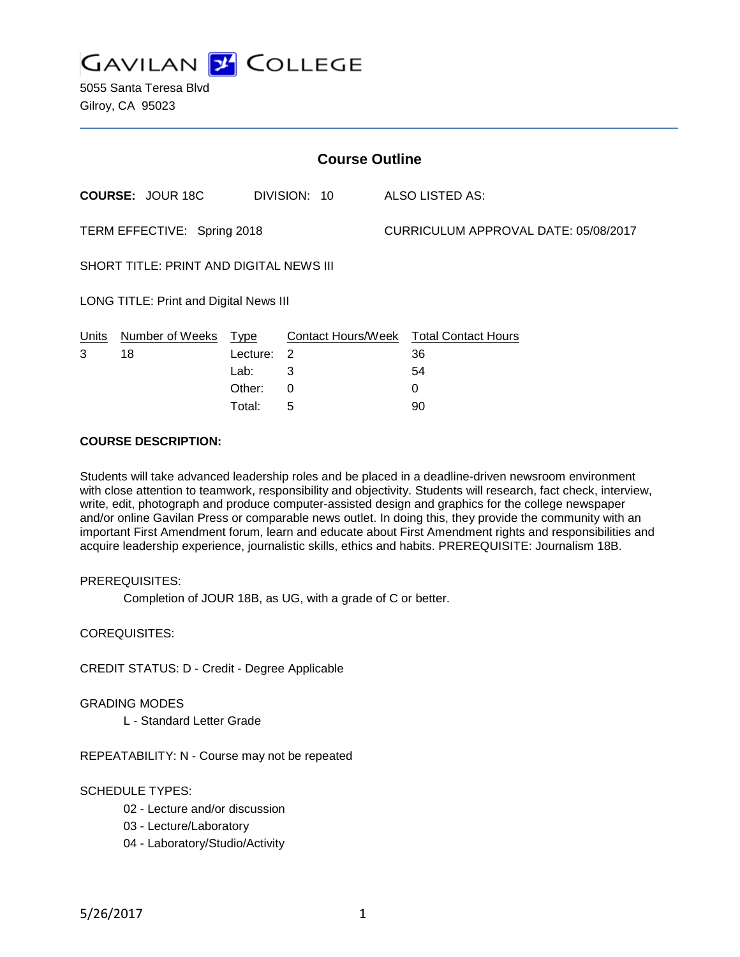**GAVILAN 2 COLLEGE** 

5055 Santa Teresa Blvd Gilroy, CA 95023

| <b>Course Outline</b>                   |                         |          |                |  |                                        |  |
|-----------------------------------------|-------------------------|----------|----------------|--|----------------------------------------|--|
|                                         | <b>COURSE: JOUR 18C</b> |          | DIVISION: 10   |  | ALSO LISTED AS:                        |  |
| TERM EFFECTIVE: Spring 2018             |                         |          |                |  | CURRICULUM APPROVAL DATE: 05/08/2017   |  |
| SHORT TITLE: PRINT AND DIGITAL NEWS III |                         |          |                |  |                                        |  |
| LONG TITLE: Print and Digital News III  |                         |          |                |  |                                        |  |
| Units                                   | Number of Weeks Type    |          |                |  | Contact Hours/Week Total Contact Hours |  |
| 3                                       | 18                      | Lecture: | $\overline{2}$ |  | 36                                     |  |
|                                         |                         | Lab:     | 3              |  | 54                                     |  |
|                                         |                         | Other:   | $\Omega$       |  | 0                                      |  |
|                                         |                         | Total:   | 5              |  | 90                                     |  |

## **COURSE DESCRIPTION:**

Students will take advanced leadership roles and be placed in a deadline-driven newsroom environment with close attention to teamwork, responsibility and objectivity. Students will research, fact check, interview, write, edit, photograph and produce computer-assisted design and graphics for the college newspaper and/or online Gavilan Press or comparable news outlet. In doing this, they provide the community with an important First Amendment forum, learn and educate about First Amendment rights and responsibilities and acquire leadership experience, journalistic skills, ethics and habits. PREREQUISITE: Journalism 18B.

## PREREQUISITES:

Completion of JOUR 18B, as UG, with a grade of C or better.

COREQUISITES:

CREDIT STATUS: D - Credit - Degree Applicable

#### GRADING MODES

L - Standard Letter Grade

REPEATABILITY: N - Course may not be repeated

## SCHEDULE TYPES:

- 02 Lecture and/or discussion
- 03 Lecture/Laboratory
- 04 Laboratory/Studio/Activity

5/26/2017 1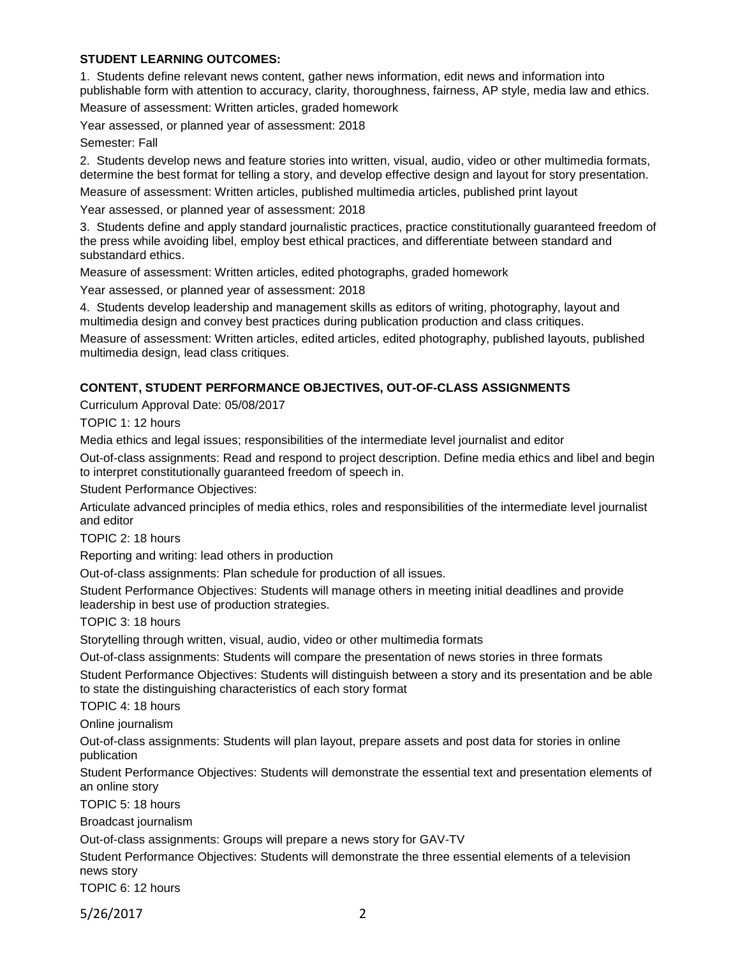## **STUDENT LEARNING OUTCOMES:**

1. Students define relevant news content, gather news information, edit news and information into publishable form with attention to accuracy, clarity, thoroughness, fairness, AP style, media law and ethics.

Measure of assessment: Written articles, graded homework

Year assessed, or planned year of assessment: 2018

Semester: Fall

2. Students develop news and feature stories into written, visual, audio, video or other multimedia formats, determine the best format for telling a story, and develop effective design and layout for story presentation.

Measure of assessment: Written articles, published multimedia articles, published print layout

Year assessed, or planned year of assessment: 2018

3. Students define and apply standard journalistic practices, practice constitutionally guaranteed freedom of the press while avoiding libel, employ best ethical practices, and differentiate between standard and substandard ethics.

Measure of assessment: Written articles, edited photographs, graded homework

Year assessed, or planned year of assessment: 2018

4. Students develop leadership and management skills as editors of writing, photography, layout and multimedia design and convey best practices during publication production and class critiques.

Measure of assessment: Written articles, edited articles, edited photography, published layouts, published multimedia design, lead class critiques.

# **CONTENT, STUDENT PERFORMANCE OBJECTIVES, OUT-OF-CLASS ASSIGNMENTS**

Curriculum Approval Date: 05/08/2017

TOPIC 1: 12 hours

Media ethics and legal issues; responsibilities of the intermediate level journalist and editor

Out-of-class assignments: Read and respond to project description. Define media ethics and libel and begin to interpret constitutionally guaranteed freedom of speech in.

Student Performance Objectives:

Articulate advanced principles of media ethics, roles and responsibilities of the intermediate level journalist and editor

TOPIC 2: 18 hours

Reporting and writing: lead others in production

Out-of-class assignments: Plan schedule for production of all issues.

Student Performance Objectives: Students will manage others in meeting initial deadlines and provide leadership in best use of production strategies.

TOPIC 3: 18 hours

Storytelling through written, visual, audio, video or other multimedia formats

Out-of-class assignments: Students will compare the presentation of news stories in three formats Student Performance Objectives: Students will distinguish between a story and its presentation and be able to state the distinguishing characteristics of each story format

TOPIC 4: 18 hours

Online journalism

Out-of-class assignments: Students will plan layout, prepare assets and post data for stories in online publication

Student Performance Objectives: Students will demonstrate the essential text and presentation elements of an online story

TOPIC 5: 18 hours

Broadcast journalism

Out-of-class assignments: Groups will prepare a news story for GAV-TV

Student Performance Objectives: Students will demonstrate the three essential elements of a television news story

TOPIC 6: 12 hours

5/26/2017 2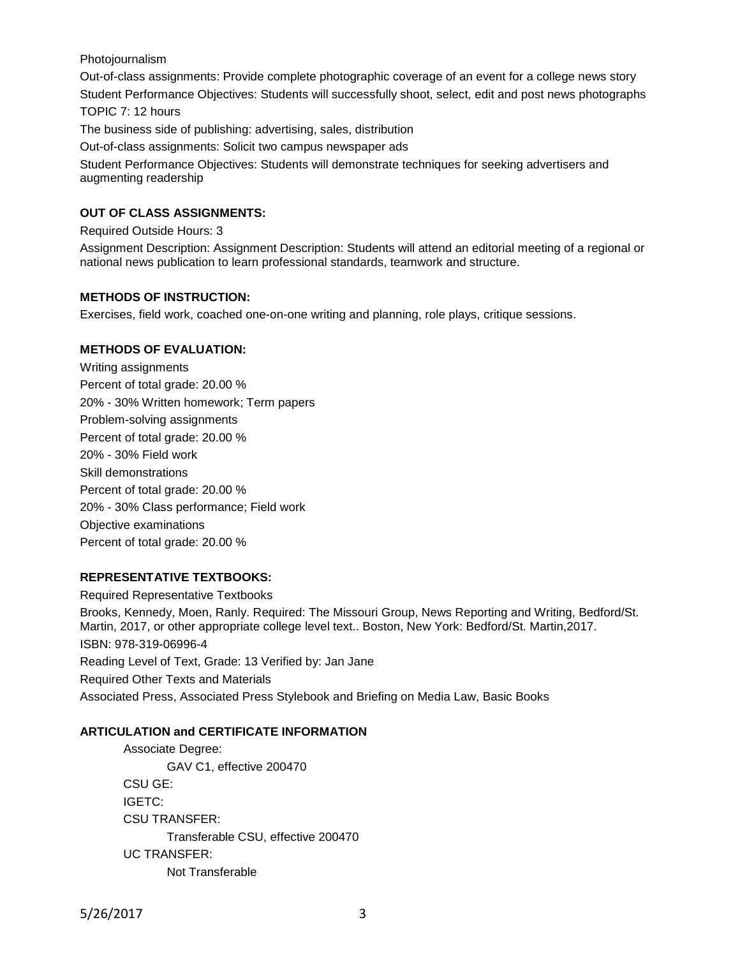### Photojournalism

Out-of-class assignments: Provide complete photographic coverage of an event for a college news story Student Performance Objectives: Students will successfully shoot, select, edit and post news photographs TOPIC 7: 12 hours

The business side of publishing: advertising, sales, distribution

Out-of-class assignments: Solicit two campus newspaper ads

Student Performance Objectives: Students will demonstrate techniques for seeking advertisers and augmenting readership

## **OUT OF CLASS ASSIGNMENTS:**

Required Outside Hours: 3

Assignment Description: Assignment Description: Students will attend an editorial meeting of a regional or national news publication to learn professional standards, teamwork and structure.

## **METHODS OF INSTRUCTION:**

Exercises, field work, coached one-on-one writing and planning, role plays, critique sessions.

### **METHODS OF EVALUATION:**

Writing assignments Percent of total grade: 20.00 % 20% - 30% Written homework; Term papers Problem-solving assignments Percent of total grade: 20.00 % 20% - 30% Field work Skill demonstrations Percent of total grade: 20.00 % 20% - 30% Class performance; Field work Objective examinations Percent of total grade: 20.00 %

## **REPRESENTATIVE TEXTBOOKS:**

Required Representative Textbooks Brooks, Kennedy, Moen, Ranly. Required: The Missouri Group, News Reporting and Writing, Bedford/St. Martin, 2017, or other appropriate college level text.. Boston, New York: Bedford/St. Martin,2017. ISBN: 978-319-06996-4 Reading Level of Text, Grade: 13 Verified by: Jan Jane Required Other Texts and Materials Associated Press, Associated Press Stylebook and Briefing on Media Law, Basic Books

## **ARTICULATION and CERTIFICATE INFORMATION**

Associate Degree: GAV C1, effective 200470 CSU GE: IGETC: CSU TRANSFER: Transferable CSU, effective 200470 UC TRANSFER: Not Transferable